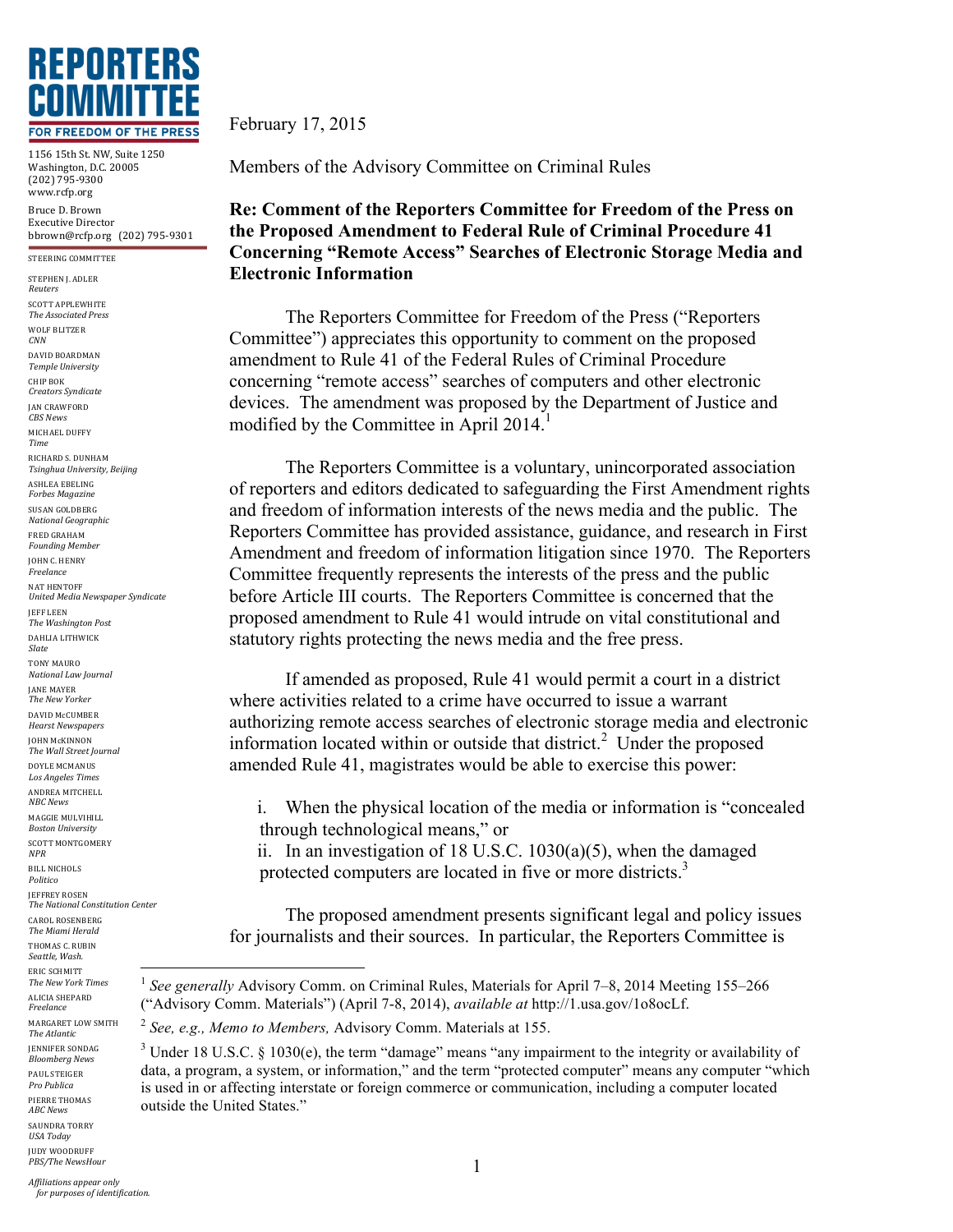

1156 15th St. NW, Suite 1250 Washington, D.C. 20005 (202) 795-9300 www.rcfp.org Bruce D. Brown Executive Director bbrown@rcfp.org (202) 795-9301

STEERING COMMITTEE

STEPHEN J. ADLER *Reuters* SCOTT APPLEWHITE *The Associated Press* WOLF BLITZER *CNN* DAVID BOARDMAN *Temple University* CHIP BOK *Creators Syndicate* JAN CRAWFORD *CBS News* MICHAEL DUFFY *Time* RICHARD S. DUNHAM *Tsinghua University, Beijing* ASHLEA EBELING *Forbes Magazine* SUSAN GOLDBERG *National Geographic* FRED GRAHAM *Founding Member* **JOHN C. HENRY** *Freelance* NAT HENTOFF *United Media Newspaper Syndicate* JEFF LEEN *The Washington Post* DAHLIA LITHWICK *Slate* TONY MAURO *National Law Journal* JANE MAYER *The New Yorker* DAVID McCUMBER *Hearst Newspapers* **JOHN McKINNON** *The Wall Street Journal* DOYLE MCMANUS *Los Angeles Times* ANDREA MITCHELL *NBC News* MAGGIE MULVIHILL *Boston University* SCOTT MONTGOMERY *NPR* **BILL NICHOLS** *Politico* **JEFFREY ROSEN** *The National Constitution Center* CAROL ROSENBERG *The Miami Herald* THOMAS C. RUBIN *Seattle, Wash.* ERIC SCHMITT *The New York Times* ALICIA SHEPARD *Freelance* MARGARET LOW SMITH *The Atlantic* **JENNIFER SONDAG** *Bloomberg News* PAUL STEIGER *Pro Publica* PIERRE THOMAS *ABC News* SAUNDRA TORRY *USA Today* JUDY WOODRUFF

February 17, 2015

Members of the Advisory Committee on Criminal Rules

## **Re: Comment of the Reporters Committee for Freedom of the Press on the Proposed Amendment to Federal Rule of Criminal Procedure 41 Concerning "Remote Access" Searches of Electronic Storage Media and Electronic Information**

The Reporters Committee for Freedom of the Press ("Reporters Committee") appreciates this opportunity to comment on the proposed amendment to Rule 41 of the Federal Rules of Criminal Procedure concerning "remote access" searches of computers and other electronic devices. The amendment was proposed by the Department of Justice and modified by the Committee in April  $2014<sup>1</sup>$ 

The Reporters Committee is a voluntary, unincorporated association of reporters and editors dedicated to safeguarding the First Amendment rights and freedom of information interests of the news media and the public. The Reporters Committee has provided assistance, guidance, and research in First Amendment and freedom of information litigation since 1970. The Reporters Committee frequently represents the interests of the press and the public before Article III courts. The Reporters Committee is concerned that the proposed amendment to Rule 41 would intrude on vital constitutional and statutory rights protecting the news media and the free press.

If amended as proposed, Rule 41 would permit a court in a district where activities related to a crime have occurred to issue a warrant authorizing remote access searches of electronic storage media and electronic information located within or outside that district.<sup>2</sup> Under the proposed amended Rule 41, magistrates would be able to exercise this power:

i. When the physical location of the media or information is "concealed through technological means," or

ii. In an investigation of 18 U.S.C. 1030(a)(5), when the damaged protected computers are located in five or more districts.<sup>3</sup>

The proposed amendment presents significant legal and policy issues for journalists and their sources. In particular, the Reporters Committee is

*PBS/The NewsHour* 

 <sup>1</sup> *See generally* Advisory Comm. on Criminal Rules, Materials for April 7–8, 2014 Meeting 155–266 ("Advisory Comm. Materials") (April 7-8, 2014), *available at* http://1.usa.gov/1o8ocLf.

<sup>2</sup> *See, e.g., Memo to Members,* Advisory Comm. Materials at 155.

 $3$  Under 18 U.S.C. § 1030(e), the term "damage" means "any impairment to the integrity or availability of data, a program, a system, or information," and the term "protected computer" means any computer "which is used in or affecting interstate or foreign commerce or communication, including a computer located outside the United States."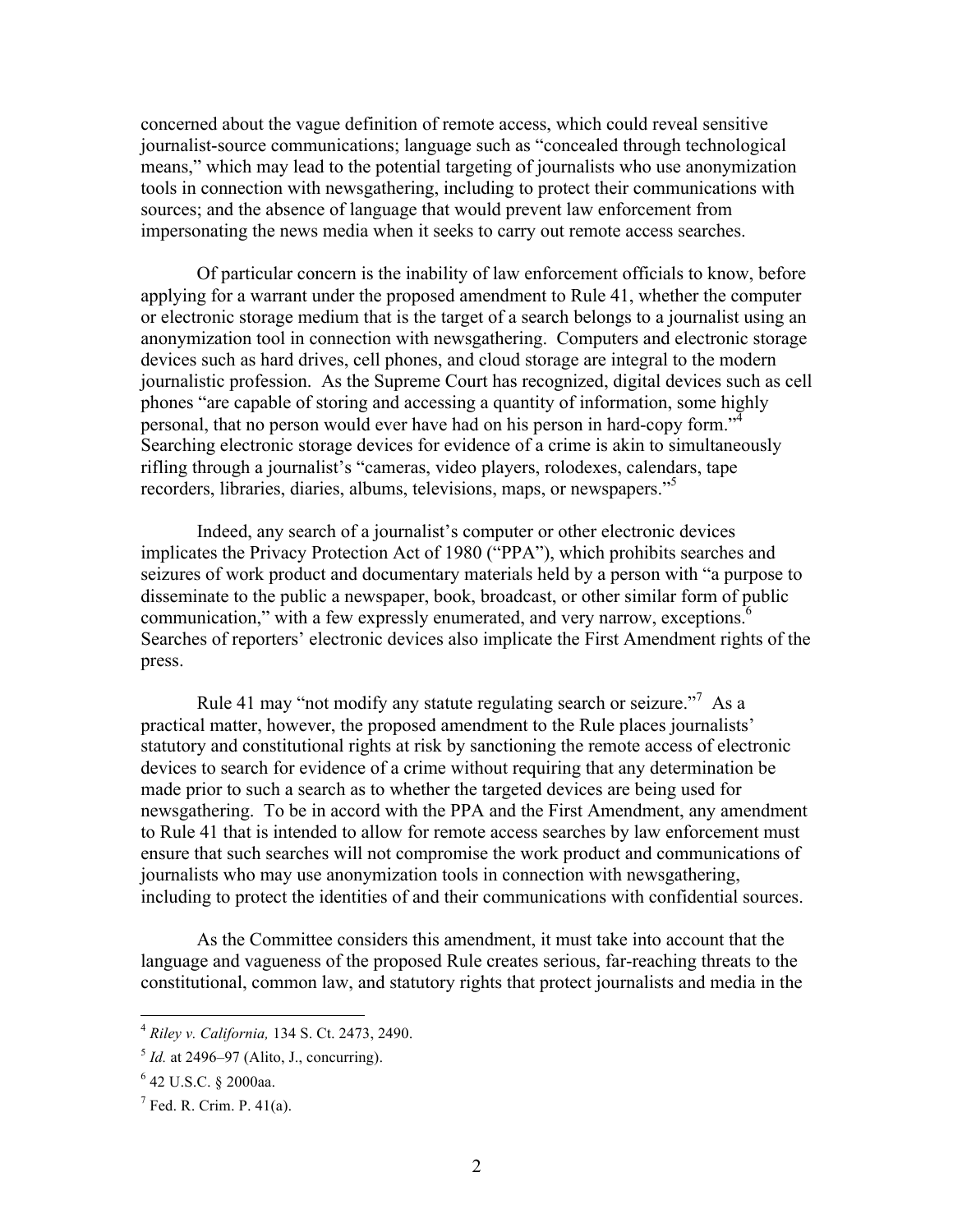concerned about the vague definition of remote access, which could reveal sensitive journalist-source communications; language such as "concealed through technological means," which may lead to the potential targeting of journalists who use anonymization tools in connection with newsgathering, including to protect their communications with sources; and the absence of language that would prevent law enforcement from impersonating the news media when it seeks to carry out remote access searches.

Of particular concern is the inability of law enforcement officials to know, before applying for a warrant under the proposed amendment to Rule 41, whether the computer or electronic storage medium that is the target of a search belongs to a journalist using an anonymization tool in connection with newsgathering. Computers and electronic storage devices such as hard drives, cell phones, and cloud storage are integral to the modern journalistic profession. As the Supreme Court has recognized, digital devices such as cell phones "are capable of storing and accessing a quantity of information, some highly personal, that no person would ever have had on his person in hard-copy form."<sup>4</sup> Searching electronic storage devices for evidence of a crime is akin to simultaneously rifling through a journalist's "cameras, video players, rolodexes, calendars, tape recorders, libraries, diaries, albums, televisions, maps, or newspapers."<sup>5</sup>

Indeed, any search of a journalist's computer or other electronic devices implicates the Privacy Protection Act of 1980 ("PPA"), which prohibits searches and seizures of work product and documentary materials held by a person with "a purpose to disseminate to the public a newspaper, book, broadcast, or other similar form of public communication," with a few expressly enumerated, and very narrow, exceptions.<sup>6</sup> Searches of reporters' electronic devices also implicate the First Amendment rights of the press.

Rule 41 may "not modify any statute regulating search or seizure."<sup>7</sup> As a practical matter, however, the proposed amendment to the Rule places journalists' statutory and constitutional rights at risk by sanctioning the remote access of electronic devices to search for evidence of a crime without requiring that any determination be made prior to such a search as to whether the targeted devices are being used for newsgathering. To be in accord with the PPA and the First Amendment, any amendment to Rule 41 that is intended to allow for remote access searches by law enforcement must ensure that such searches will not compromise the work product and communications of journalists who may use anonymization tools in connection with newsgathering, including to protect the identities of and their communications with confidential sources.

As the Committee considers this amendment, it must take into account that the language and vagueness of the proposed Rule creates serious, far-reaching threats to the constitutional, common law, and statutory rights that protect journalists and media in the

 <sup>4</sup> *Riley v. California,* 134 S. Ct. 2473, 2490.

 $<sup>5</sup>$  *Id.* at 2496–97 (Alito, J., concurring).</sup>

<sup>6</sup> 42 U.S.C. § 2000aa.

 $<sup>7</sup>$  Fed. R. Crim. P. 41(a).</sup>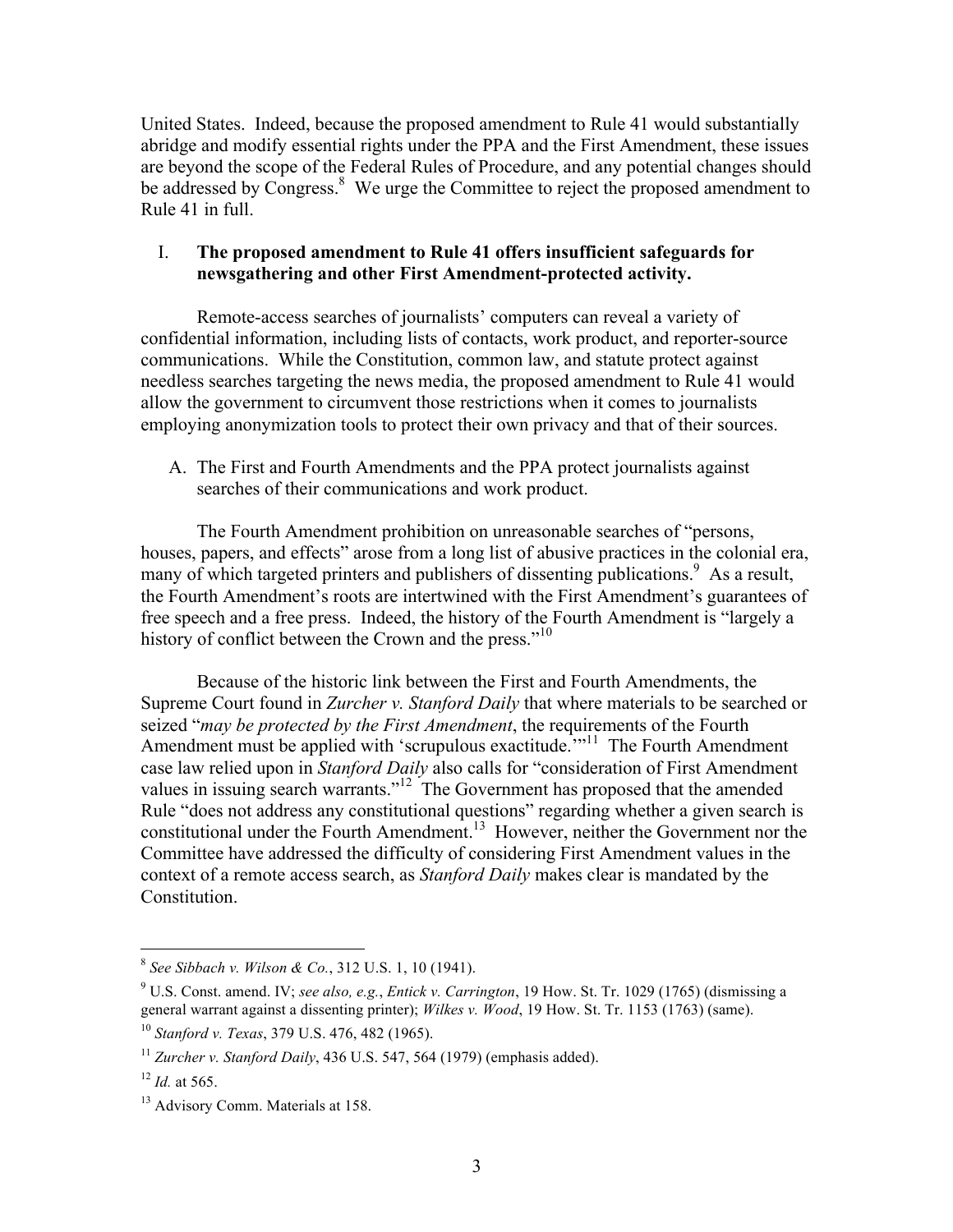United States. Indeed, because the proposed amendment to Rule 41 would substantially abridge and modify essential rights under the PPA and the First Amendment, these issues are beyond the scope of the Federal Rules of Procedure, and any potential changes should be addressed by Congress.<sup>8</sup> We urge the Committee to reject the proposed amendment to Rule 41 in full.

## I. **The proposed amendment to Rule 41 offers insufficient safeguards for newsgathering and other First Amendment-protected activity.**

Remote-access searches of journalists' computers can reveal a variety of confidential information, including lists of contacts, work product, and reporter-source communications. While the Constitution, common law, and statute protect against needless searches targeting the news media, the proposed amendment to Rule 41 would allow the government to circumvent those restrictions when it comes to journalists employing anonymization tools to protect their own privacy and that of their sources.

A. The First and Fourth Amendments and the PPA protect journalists against searches of their communications and work product.

The Fourth Amendment prohibition on unreasonable searches of "persons, houses, papers, and effects" arose from a long list of abusive practices in the colonial era, many of which targeted printers and publishers of dissenting publications.<sup>9</sup> As a result, the Fourth Amendment's roots are intertwined with the First Amendment's guarantees of free speech and a free press. Indeed, the history of the Fourth Amendment is "largely a history of conflict between the Crown and the press."<sup>10</sup>

Because of the historic link between the First and Fourth Amendments, the Supreme Court found in *Zurcher v. Stanford Daily* that where materials to be searched or seized "*may be protected by the First Amendment*, the requirements of the Fourth Amendment must be applied with 'scrupulous exactitude.<sup>'"11</sup> The Fourth Amendment case law relied upon in *Stanford Daily* also calls for "consideration of First Amendment values in issuing search warrants."<sup>12</sup> The Government has proposed that the amended Rule "does not address any constitutional questions" regarding whether a given search is constitutional under the Fourth Amendment.13 However, neither the Government nor the Committee have addressed the difficulty of considering First Amendment values in the context of a remote access search, as *Stanford Daily* makes clear is mandated by the Constitution.

 <sup>8</sup> *See Sibbach v. Wilson & Co.*, 312 U.S. 1, 10 (1941).

<sup>9</sup> U.S. Const. amend. IV; *see also, e.g.*, *Entick v. Carrington*, 19 How. St. Tr. 1029 (1765) (dismissing a general warrant against a dissenting printer); *Wilkes v. Wood*, 19 How. St. Tr. 1153 (1763) (same).

<sup>10</sup> *Stanford v. Texas*, 379 U.S. 476, 482 (1965).

<sup>&</sup>lt;sup>11</sup> *Zurcher v. Stanford Daily*, 436 U.S. 547, 564 (1979) (emphasis added).

 $12$  *Id.* at 565.

<sup>&</sup>lt;sup>13</sup> Advisory Comm. Materials at 158.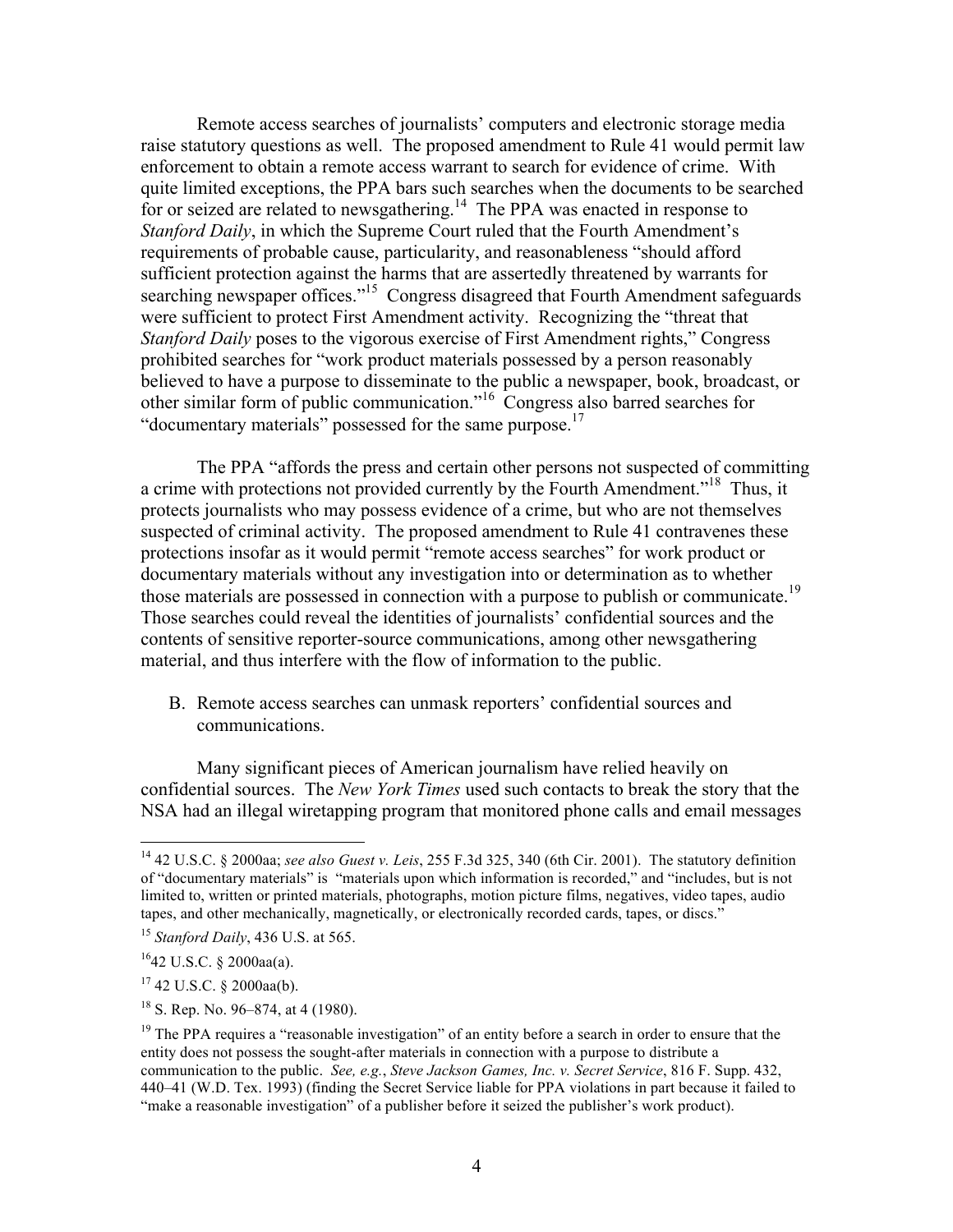Remote access searches of journalists' computers and electronic storage media raise statutory questions as well. The proposed amendment to Rule 41 would permit law enforcement to obtain a remote access warrant to search for evidence of crime. With quite limited exceptions, the PPA bars such searches when the documents to be searched for or seized are related to newsgathering.<sup>14</sup> The PPA was enacted in response to *Stanford Daily*, in which the Supreme Court ruled that the Fourth Amendment's requirements of probable cause, particularity, and reasonableness "should afford sufficient protection against the harms that are assertedly threatened by warrants for searching newspaper offices."<sup>15</sup> Congress disagreed that Fourth Amendment safeguards were sufficient to protect First Amendment activity. Recognizing the "threat that *Stanford Daily* poses to the vigorous exercise of First Amendment rights," Congress prohibited searches for "work product materials possessed by a person reasonably believed to have a purpose to disseminate to the public a newspaper, book, broadcast, or other similar form of public communication."<sup>16</sup> Congress also barred searches for "documentary materials" possessed for the same purpose.<sup>17</sup>

The PPA "affords the press and certain other persons not suspected of committing a crime with protections not provided currently by the Fourth Amendment."18 Thus, it protects journalists who may possess evidence of a crime, but who are not themselves suspected of criminal activity. The proposed amendment to Rule 41 contravenes these protections insofar as it would permit "remote access searches" for work product or documentary materials without any investigation into or determination as to whether those materials are possessed in connection with a purpose to publish or communicate.<sup>19</sup> Those searches could reveal the identities of journalists' confidential sources and the contents of sensitive reporter-source communications, among other newsgathering material, and thus interfere with the flow of information to the public.

B. Remote access searches can unmask reporters' confidential sources and communications.

Many significant pieces of American journalism have relied heavily on confidential sources. The *New York Times* used such contacts to break the story that the NSA had an illegal wiretapping program that monitored phone calls and email messages

 <sup>14</sup> 42 U.S.C. § 2000aa; *see also Guest v. Leis*, 255 F.3d 325, 340 (6th Cir. 2001). The statutory definition of "documentary materials" is "materials upon which information is recorded," and "includes, but is not limited to, written or printed materials, photographs, motion picture films, negatives, video tapes, audio tapes, and other mechanically, magnetically, or electronically recorded cards, tapes, or discs."

<sup>15</sup> *Stanford Daily*, 436 U.S. at 565.

 $1642$  U.S.C. § 2000aa(a).

 $17$  42 U.S.C. § 2000aa(b).

 $18$  S. Rep. No. 96–874, at 4 (1980).

 $19$  The PPA requires a "reasonable investigation" of an entity before a search in order to ensure that the entity does not possess the sought-after materials in connection with a purpose to distribute a communication to the public. *See, e.g.*, *Steve Jackson Games, Inc. v. Secret Service*, 816 F. Supp. 432, 440–41 (W.D. Tex. 1993) (finding the Secret Service liable for PPA violations in part because it failed to "make a reasonable investigation" of a publisher before it seized the publisher's work product).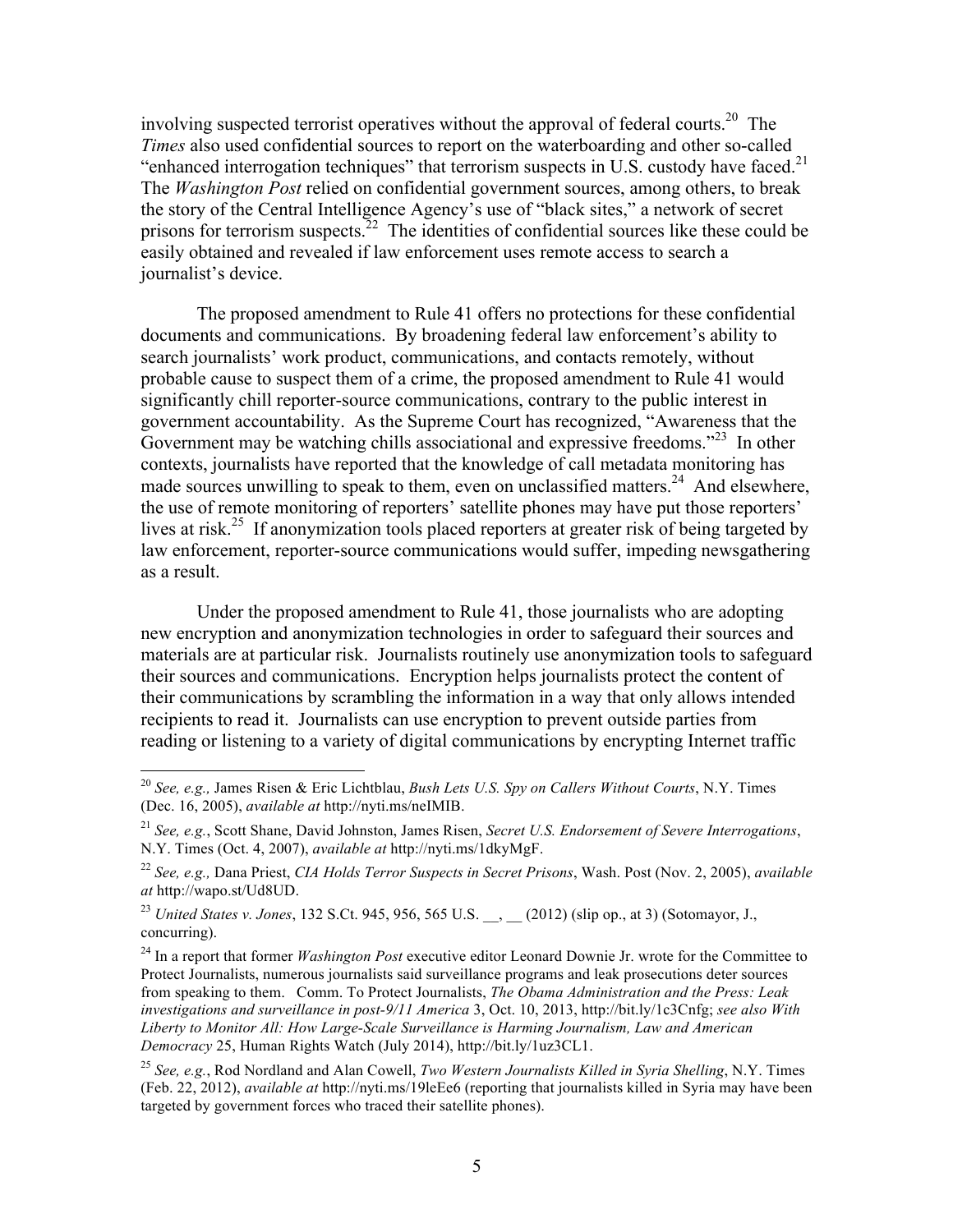involving suspected terrorist operatives without the approval of federal courts.<sup>20</sup> The *Times* also used confidential sources to report on the waterboarding and other so-called "enhanced interrogation techniques" that terrorism suspects in U.S. custody have faced. $2<sup>1</sup>$ The *Washington Post* relied on confidential government sources, among others, to break the story of the Central Intelligence Agency's use of "black sites," a network of secret prisons for terrorism suspects.<sup>22</sup> The identities of confidential sources like these could be easily obtained and revealed if law enforcement uses remote access to search a journalist's device.

The proposed amendment to Rule 41 offers no protections for these confidential documents and communications. By broadening federal law enforcement's ability to search journalists' work product, communications, and contacts remotely, without probable cause to suspect them of a crime, the proposed amendment to Rule 41 would significantly chill reporter-source communications, contrary to the public interest in government accountability. As the Supreme Court has recognized, "Awareness that the Government may be watching chills associational and expressive freedoms.<sup>323</sup> In other contexts, journalists have reported that the knowledge of call metadata monitoring has made sources unwilling to speak to them, even on unclassified matters.<sup>24</sup> And elsewhere, the use of remote monitoring of reporters' satellite phones may have put those reporters' lives at risk.<sup>25</sup> If anonymization tools placed reporters at greater risk of being targeted by law enforcement, reporter-source communications would suffer, impeding newsgathering as a result.

Under the proposed amendment to Rule 41, those journalists who are adopting new encryption and anonymization technologies in order to safeguard their sources and materials are at particular risk. Journalists routinely use anonymization tools to safeguard their sources and communications. Encryption helps journalists protect the content of their communications by scrambling the information in a way that only allows intended recipients to read it. Journalists can use encryption to prevent outside parties from reading or listening to a variety of digital communications by encrypting Internet traffic

 <sup>20</sup> *See, e.g.,* James Risen & Eric Lichtblau, *Bush Lets U.S. Spy on Callers Without Courts*, N.Y. Times (Dec. 16, 2005), *available at* http://nyti.ms/neIMIB.

<sup>21</sup> *See, e.g.*, Scott Shane, David Johnston, James Risen, *Secret U.S. Endorsement of Severe Interrogations*, N.Y. Times (Oct. 4, 2007), *available at* http://nyti.ms/1dkyMgF.

<sup>22</sup> *See, e.g.,* Dana Priest, *CIA Holds Terror Suspects in Secret Prisons*, Wash. Post (Nov. 2, 2005), *available at* http://wapo.st/Ud8UD.

<sup>&</sup>lt;sup>23</sup> *United States v. Jones*, 132 S.Ct. 945, 956, 565 U.S. (2012) (slip op., at 3) (Sotomayor, J., concurring).

<sup>&</sup>lt;sup>24</sup> In a report that former *Washington Post* executive editor Leonard Downie Jr. wrote for the Committee to Protect Journalists, numerous journalists said surveillance programs and leak prosecutions deter sources from speaking to them. Comm. To Protect Journalists, *The Obama Administration and the Press: Leak investigations and surveillance in post-9/11 America* 3, Oct. 10, 2013, http://bit.ly/1c3Cnfg; *see also With Liberty to Monitor All: How Large-Scale Surveillance is Harming Journalism, Law and American Democracy* 25, Human Rights Watch (July 2014), http://bit.ly/1uz3CL1.

<sup>25</sup> *See, e.g.*, Rod Nordland and Alan Cowell, *Two Western Journalists Killed in Syria Shelling*, N.Y. Times (Feb. 22, 2012), *available at* http://nyti.ms/19leEe6 (reporting that journalists killed in Syria may have been targeted by government forces who traced their satellite phones).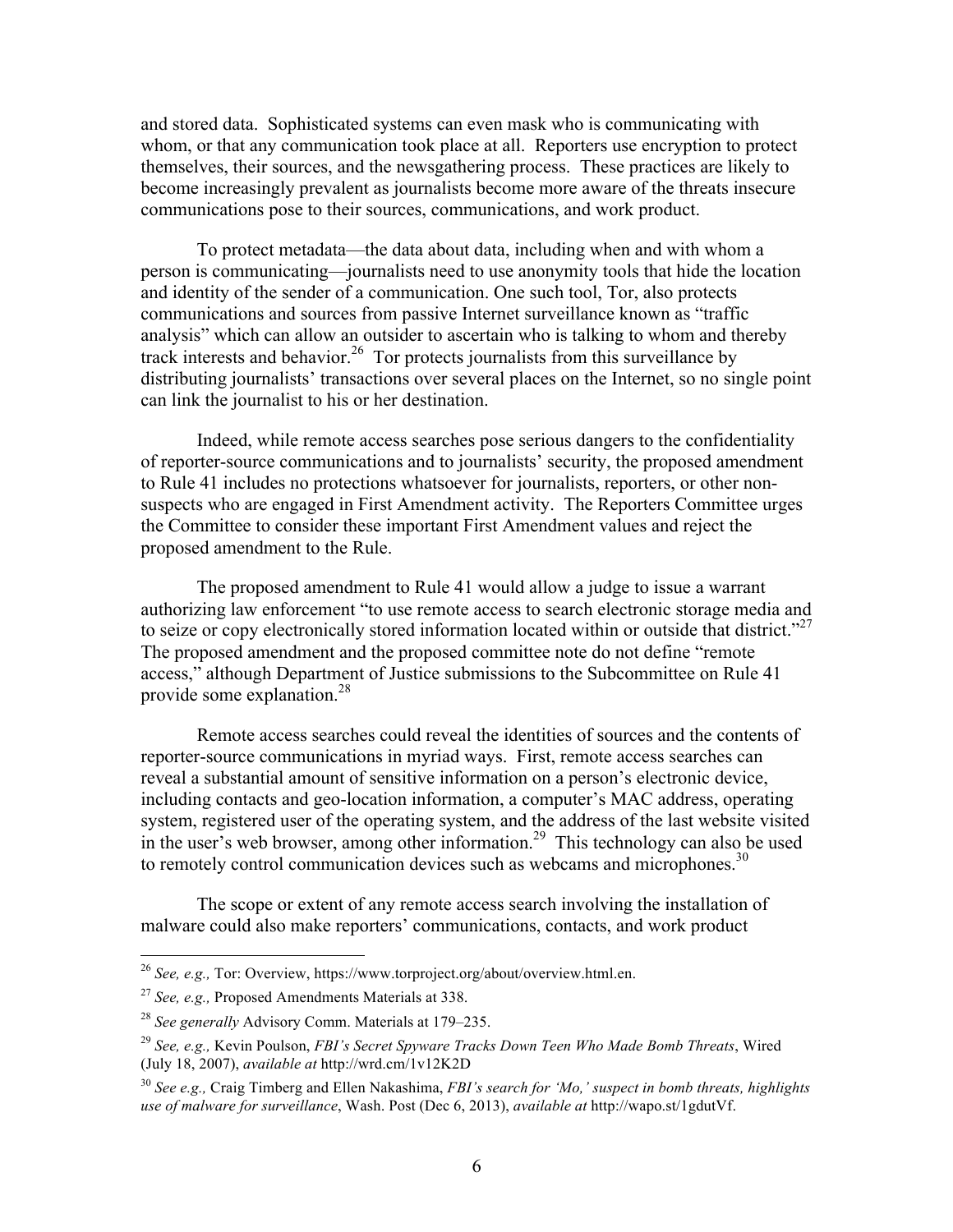and stored data. Sophisticated systems can even mask who is communicating with whom, or that any communication took place at all. Reporters use encryption to protect themselves, their sources, and the newsgathering process. These practices are likely to become increasingly prevalent as journalists become more aware of the threats insecure communications pose to their sources, communications, and work product.

To protect metadata—the data about data, including when and with whom a person is communicating—journalists need to use anonymity tools that hide the location and identity of the sender of a communication. One such tool, Tor, also protects communications and sources from passive Internet surveillance known as "traffic analysis" which can allow an outsider to ascertain who is talking to whom and thereby track interests and behavior.<sup>26</sup> Tor protects journalists from this surveillance by distributing journalists' transactions over several places on the Internet, so no single point can link the journalist to his or her destination.

Indeed, while remote access searches pose serious dangers to the confidentiality of reporter-source communications and to journalists' security, the proposed amendment to Rule 41 includes no protections whatsoever for journalists, reporters, or other nonsuspects who are engaged in First Amendment activity. The Reporters Committee urges the Committee to consider these important First Amendment values and reject the proposed amendment to the Rule.

The proposed amendment to Rule 41 would allow a judge to issue a warrant authorizing law enforcement "to use remote access to search electronic storage media and to seize or copy electronically stored information located within or outside that district." The proposed amendment and the proposed committee note do not define "remote access," although Department of Justice submissions to the Subcommittee on Rule 41 provide some explanation.28

Remote access searches could reveal the identities of sources and the contents of reporter-source communications in myriad ways. First, remote access searches can reveal a substantial amount of sensitive information on a person's electronic device, including contacts and geo-location information, a computer's MAC address, operating system, registered user of the operating system, and the address of the last website visited in the user's web browser, among other information.<sup>29</sup> This technology can also be used to remotely control communication devices such as webcams and microphones.<sup>30</sup>

The scope or extent of any remote access search involving the installation of malware could also make reporters' communications, contacts, and work product

 <sup>26</sup> *See, e.g.,* Tor: Overview, https://www.torproject.org/about/overview.html.en.

<sup>27</sup> *See, e.g.,* Proposed Amendments Materials at 338.

<sup>28</sup> *See generally* Advisory Comm. Materials at 179–235.

<sup>29</sup> *See, e.g.,* Kevin Poulson, *FBI's Secret Spyware Tracks Down Teen Who Made Bomb Threats*, Wired (July 18, 2007), *available at* http://wrd.cm/1v12K2D

<sup>30</sup> *See e.g.,* Craig Timberg and Ellen Nakashima, *FBI's search for 'Mo,' suspect in bomb threats, highlights use of malware for surveillance*, Wash. Post (Dec 6, 2013), *available at* http://wapo.st/1gdutVf.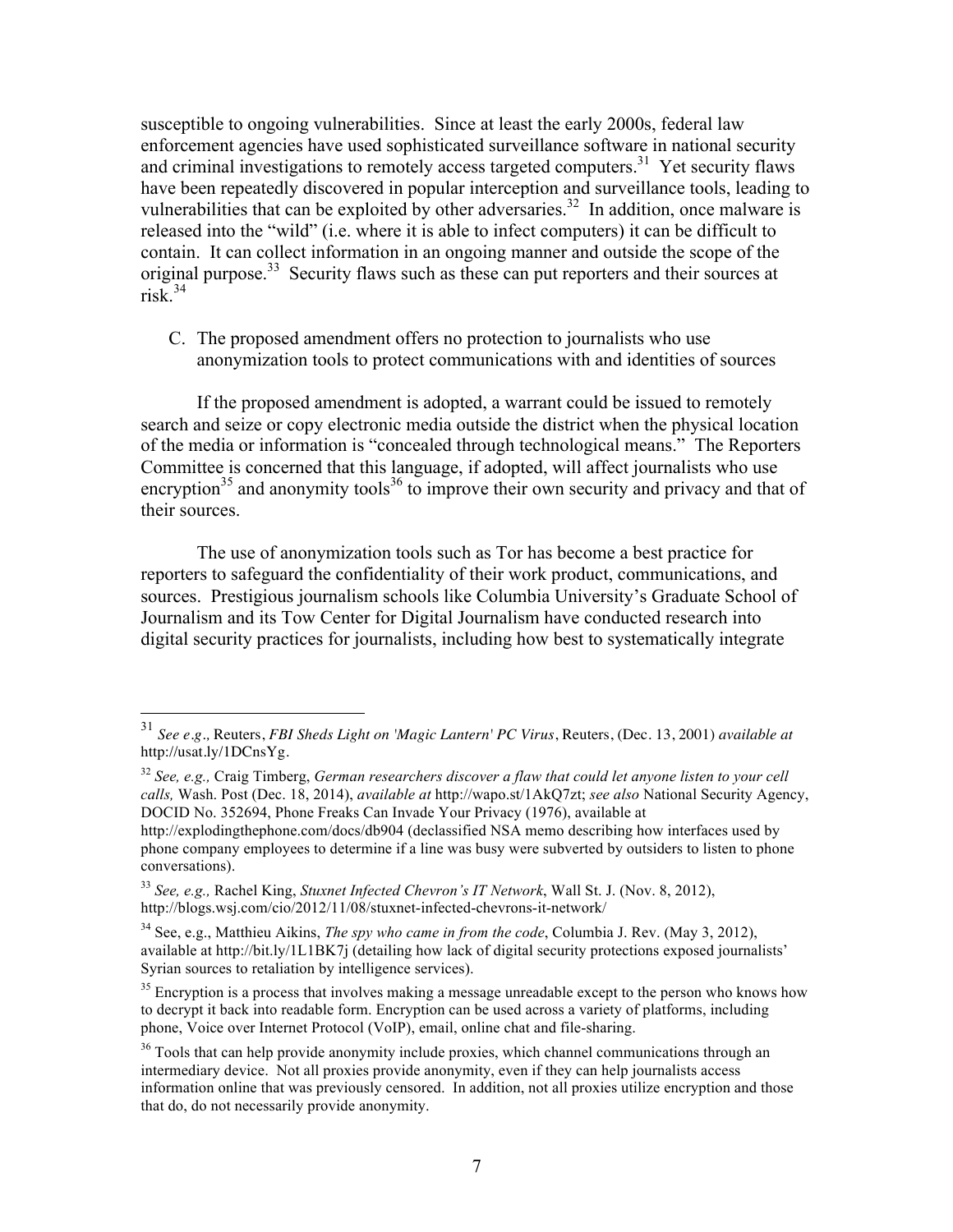susceptible to ongoing vulnerabilities. Since at least the early 2000s, federal law enforcement agencies have used sophisticated surveillance software in national security and criminal investigations to remotely access targeted computers.<sup>31</sup> Yet security flaws have been repeatedly discovered in popular interception and surveillance tools, leading to vulnerabilities that can be exploited by other adversaries.<sup>32</sup> In addition, once malware is released into the "wild" (i.e. where it is able to infect computers) it can be difficult to contain. It can collect information in an ongoing manner and outside the scope of the original purpose.<sup>33</sup> Security flaws such as these can put reporters and their sources at risk. $34$ 

C. The proposed amendment offers no protection to journalists who use anonymization tools to protect communications with and identities of sources

If the proposed amendment is adopted, a warrant could be issued to remotely search and seize or copy electronic media outside the district when the physical location of the media or information is "concealed through technological means."The Reporters Committee is concerned that this language, if adopted, will affect journalists who use encryption<sup>35</sup> and anonymity tools<sup>36</sup> to improve their own security and privacy and that of their sources.

The use of anonymization tools such as Tor has become a best practice for reporters to safeguard the confidentiality of their work product, communications, and sources. Prestigious journalism schools like Columbia University's Graduate School of Journalism and its Tow Center for Digital Journalism have conducted research into digital security practices for journalists, including how best to systematically integrate

 <sup>31</sup> *See e.g.,* Reuters, *FBI Sheds Light on 'Magic Lantern' PC Virus*, Reuters, (Dec. 13, 2001) *available at* http://usat.ly/1DCnsYg.

<sup>32</sup> *See, e.g.,* Craig Timberg, *German researchers discover a flaw that could let anyone listen to your cell calls,* Wash. Post (Dec. 18, 2014), *available at* http://wapo.st/1AkQ7zt; *see also* National Security Agency, DOCID No. 352694, Phone Freaks Can Invade Your Privacy (1976), available at

http://explodingthephone.com/docs/db904 (declassified NSA memo describing how interfaces used by phone company employees to determine if a line was busy were subverted by outsiders to listen to phone conversations).

<sup>33</sup> *See, e.g.,* Rachel King, *Stuxnet Infected Chevron's IT Network*, Wall St. J. (Nov. 8, 2012), http://blogs.wsj.com/cio/2012/11/08/stuxnet-infected-chevrons-it-network/

<sup>34</sup> See, e.g., Matthieu Aikins, *The spy who came in from the code*, Columbia J. Rev. (May 3, 2012), available at http://bit.ly/1L1BK7j (detailing how lack of digital security protections exposed journalists' Syrian sources to retaliation by intelligence services).

<sup>&</sup>lt;sup>35</sup> Encryption is a process that involves making a message unreadable except to the person who knows how to decrypt it back into readable form. Encryption can be used across a variety of platforms, including phone, Voice over Internet Protocol (VoIP), email, online chat and file-sharing.

<sup>&</sup>lt;sup>36</sup> Tools that can help provide anonymity include proxies, which channel communications through an intermediary device. Not all proxies provide anonymity, even if they can help journalists access information online that was previously censored. In addition, not all proxies utilize encryption and those that do, do not necessarily provide anonymity.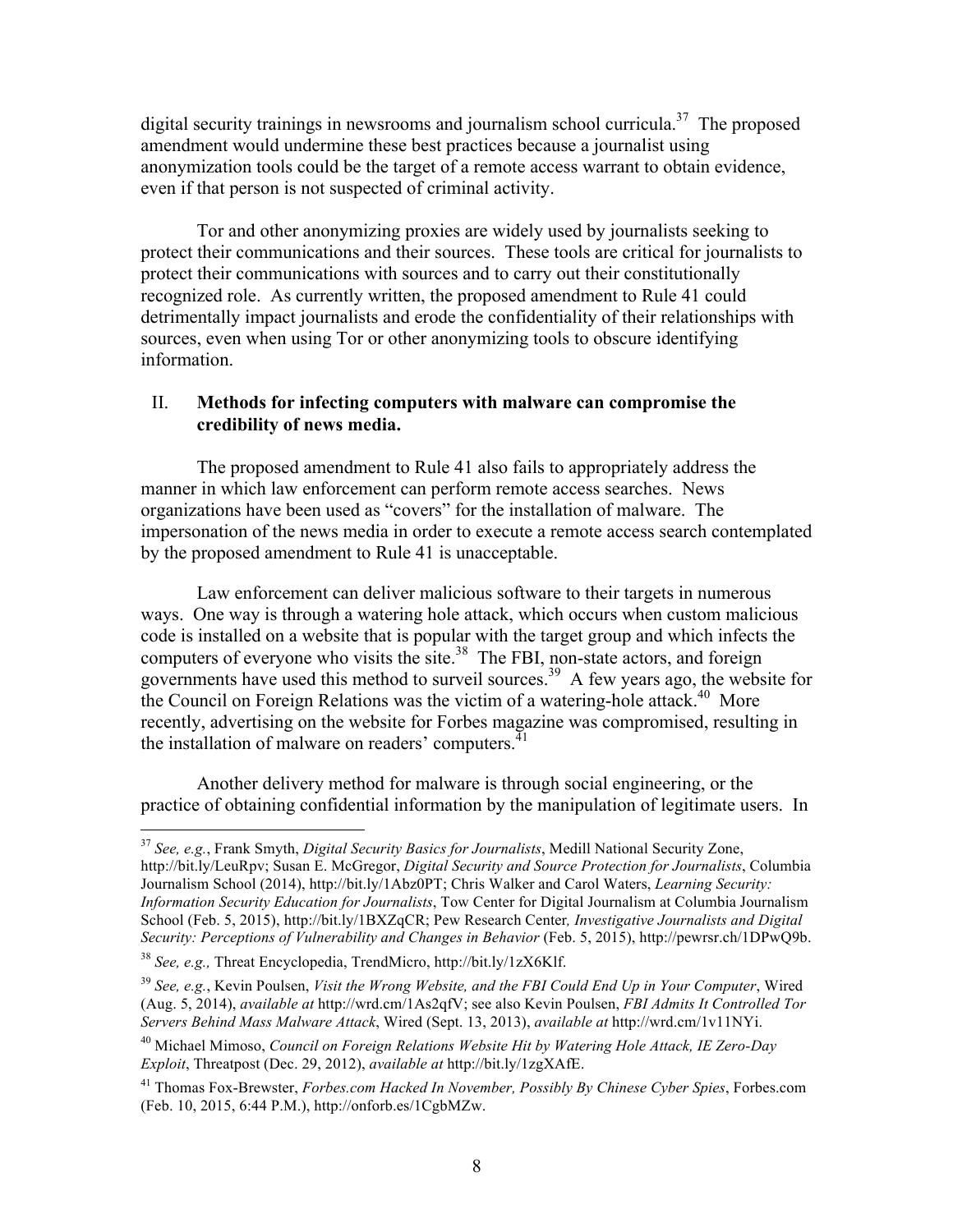digital security trainings in newsrooms and journalism school curricula.<sup>37</sup> The proposed amendment would undermine these best practices because a journalist using anonymization tools could be the target of a remote access warrant to obtain evidence, even if that person is not suspected of criminal activity.

Tor and other anonymizing proxies are widely used by journalists seeking to protect their communications and their sources. These tools are critical for journalists to protect their communications with sources and to carry out their constitutionally recognized role. As currently written, the proposed amendment to Rule 41 could detrimentally impact journalists and erode the confidentiality of their relationships with sources, even when using Tor or other anonymizing tools to obscure identifying information.

## II. **Methods for infecting computers with malware can compromise the credibility of news media.**

The proposed amendment to Rule 41 also fails to appropriately address the manner in which law enforcement can perform remote access searches. News organizations have been used as "covers" for the installation of malware. The impersonation of the news media in order to execute a remote access search contemplated by the proposed amendment to Rule 41 is unacceptable.

Law enforcement can deliver malicious software to their targets in numerous ways. One way is through a watering hole attack, which occurs when custom malicious code is installed on a website that is popular with the target group and which infects the computers of everyone who visits the site. $38$  The FBI, non-state actors, and foreign governments have used this method to surveil sources.<sup>39</sup> A few years ago, the website for the Council on Foreign Relations was the victim of a watering-hole attack.<sup>40</sup> More recently, advertising on the website for Forbes magazine was compromised, resulting in the installation of malware on readers' computers.<sup>41</sup>

Another delivery method for malware is through social engineering, or the practice of obtaining confidential information by the manipulation of legitimate users. In

 <sup>37</sup> *See, e.g.*, Frank Smyth, *Digital Security Basics for Journalists*, Medill National Security Zone, http://bit.ly/LeuRpv; Susan E. McGregor, *Digital Security and Source Protection for Journalists*, Columbia Journalism School (2014), http://bit.ly/1Abz0PT; Chris Walker and Carol Waters, *Learning Security: Information Security Education for Journalists*, Tow Center for Digital Journalism at Columbia Journalism School (Feb. 5, 2015), http://bit.ly/1BXZqCR; Pew Research Center*, Investigative Journalists and Digital Security: Perceptions of Vulnerability and Changes in Behavior* (Feb. 5, 2015), http://pewrsr.ch/1DPwQ9b.

<sup>38</sup> *See, e.g.,* Threat Encyclopedia, TrendMicro, http://bit.ly/1zX6Klf.

<sup>39</sup> *See, e.g.*, Kevin Poulsen, *Visit the Wrong Website, and the FBI Could End Up in Your Computer*, Wired (Aug. 5, 2014), *available at* http://wrd.cm/1As2qfV; see also Kevin Poulsen, *FBI Admits It Controlled Tor Servers Behind Mass Malware Attack*, Wired (Sept. 13, 2013), *available at* http://wrd.cm/1v11NYi.

<sup>40</sup> Michael Mimoso, *Council on Foreign Relations Website Hit by Watering Hole Attack, IE Zero-Day Exploit*, Threatpost (Dec. 29, 2012), *available at* http://bit.ly/1zgXAfE.

<sup>41</sup> Thomas Fox-Brewster, *Forbes.com Hacked In November, Possibly By Chinese Cyber Spies*, Forbes.com (Feb. 10, 2015, 6:44 P.M.), http://onforb.es/1CgbMZw.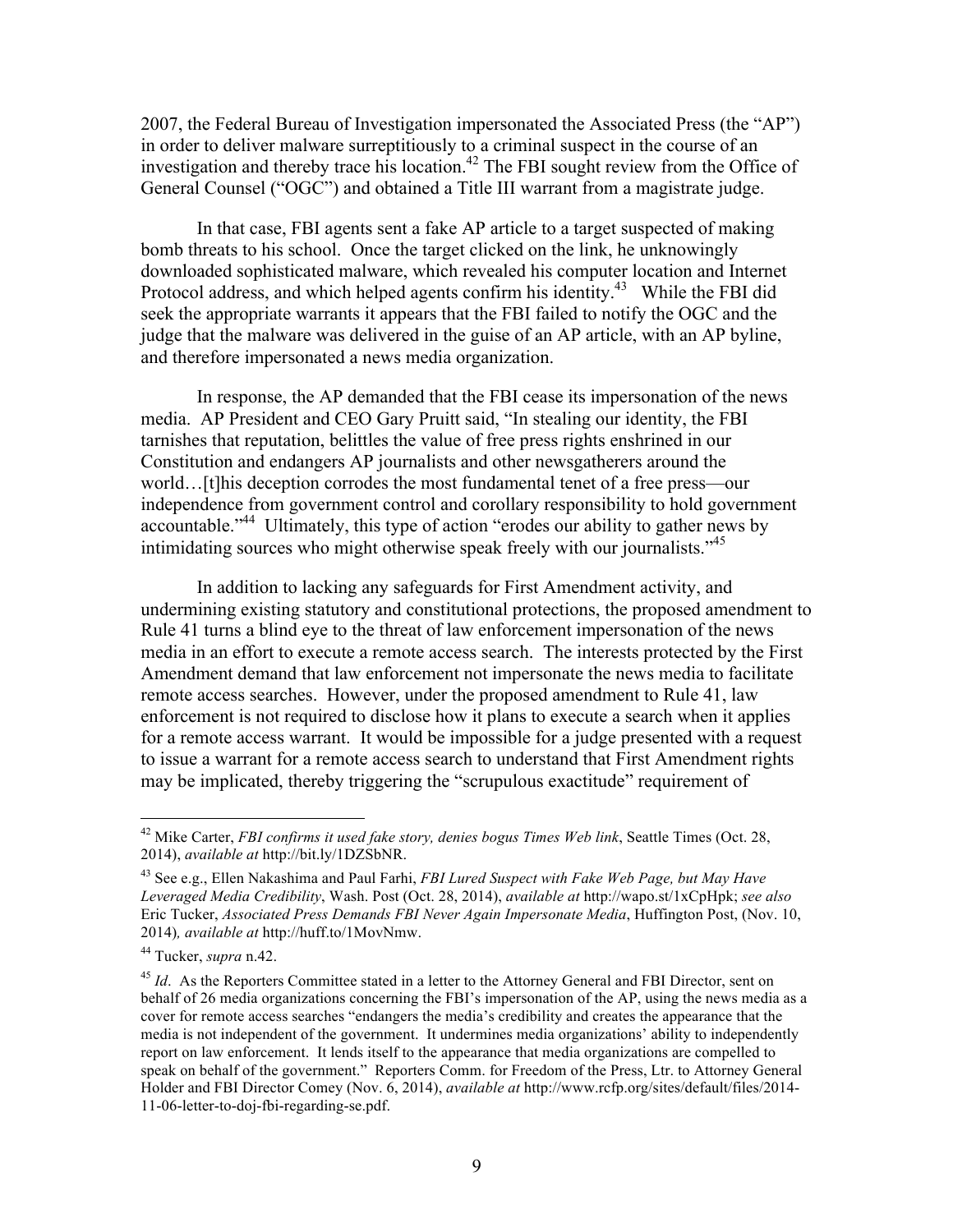2007, the Federal Bureau of Investigation impersonated the Associated Press (the "AP") in order to deliver malware surreptitiously to a criminal suspect in the course of an investigation and thereby trace his location.<sup>42</sup> The FBI sought review from the Office of General Counsel ("OGC") and obtained a Title III warrant from a magistrate judge.

In that case, FBI agents sent a fake AP article to a target suspected of making bomb threats to his school. Once the target clicked on the link, he unknowingly downloaded sophisticated malware, which revealed his computer location and Internet Protocol address, and which helped agents confirm his identity.<sup>43</sup> While the FBI did seek the appropriate warrants it appears that the FBI failed to notify the OGC and the judge that the malware was delivered in the guise of an AP article, with an AP byline, and therefore impersonated a news media organization.

In response, the AP demanded that the FBI cease its impersonation of the news media. AP President and CEO Gary Pruitt said, "In stealing our identity, the FBI tarnishes that reputation, belittles the value of free press rights enshrined in our Constitution and endangers AP journalists and other newsgatherers around the world…[t]his deception corrodes the most fundamental tenet of a free press—our independence from government control and corollary responsibility to hold government accountable."44 Ultimately, this type of action "erodes our ability to gather news by intimidating sources who might otherwise speak freely with our journalists."45

In addition to lacking any safeguards for First Amendment activity, and undermining existing statutory and constitutional protections, the proposed amendment to Rule 41 turns a blind eye to the threat of law enforcement impersonation of the news media in an effort to execute a remote access search. The interests protected by the First Amendment demand that law enforcement not impersonate the news media to facilitate remote access searches. However, under the proposed amendment to Rule 41, law enforcement is not required to disclose how it plans to execute a search when it applies for a remote access warrant. It would be impossible for a judge presented with a request to issue a warrant for a remote access search to understand that First Amendment rights may be implicated, thereby triggering the "scrupulous exactitude" requirement of

 <sup>42</sup> Mike Carter, *FBI confirms it used fake story, denies bogus Times Web link*, Seattle Times (Oct. 28, 2014), *available at* http://bit.ly/1DZSbNR.

<sup>43</sup> See e.g., Ellen Nakashima and Paul Farhi, *FBI Lured Suspect with Fake Web Page, but May Have Leveraged Media Credibility*, Wash. Post (Oct. 28, 2014), *available at* http://wapo.st/1xCpHpk; *see also* Eric Tucker, *Associated Press Demands FBI Never Again Impersonate Media*, Huffington Post, (Nov. 10, 2014)*, available at* http://huff.to/1MovNmw.

<sup>44</sup> Tucker, *supra* n.42.

<sup>&</sup>lt;sup>45</sup> *Id.* As the Reporters Committee stated in a letter to the Attorney General and FBI Director, sent on behalf of 26 media organizations concerning the FBI's impersonation of the AP, using the news media as a cover for remote access searches "endangers the media's credibility and creates the appearance that the media is not independent of the government. It undermines media organizations' ability to independently report on law enforcement. It lends itself to the appearance that media organizations are compelled to speak on behalf of the government." Reporters Comm. for Freedom of the Press, Ltr. to Attorney General Holder and FBI Director Comey (Nov. 6, 2014), *available at* http://www.rcfp.org/sites/default/files/2014- 11-06-letter-to-doj-fbi-regarding-se.pdf.